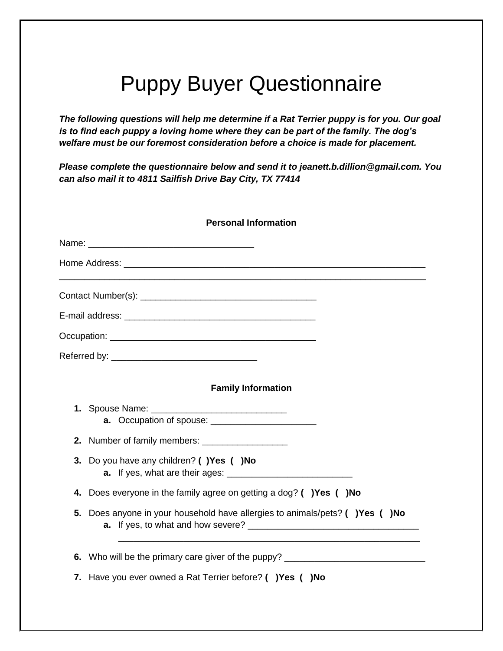## Puppy Buyer Questionnaire

*The following questions will help me determine if a Rat Terrier puppy is for you. Our goal is to find each puppy a loving home where they can be part of the family. The dog's welfare must be our foremost consideration before a choice is made for placement.*

*Please complete the questionnaire below and send it to jeanett.b.dillion@gmail.com. You can also mail it to 4811 Sailfish Drive Bay City, TX 77414*

|    | <b>Personal Information</b>                                                      |
|----|----------------------------------------------------------------------------------|
|    |                                                                                  |
|    |                                                                                  |
|    |                                                                                  |
|    |                                                                                  |
|    |                                                                                  |
|    |                                                                                  |
|    | <b>Family Information</b>                                                        |
| 1. |                                                                                  |
|    | 2. Number of family members: _________________                                   |
| 3. | Do you have any children? ()Yes ()No                                             |
| 4. | Does everyone in the family agree on getting a dog? ( )Yes ( )No                 |
| 5. | Does anyone in your household have allergies to animals/pets? ( ) Yes ( ) No     |
|    | 6. Who will be the primary care giver of the puppy? ____________________________ |
|    | 7. Have you ever owned a Rat Terrier before? ( ) Yes ( ) No                      |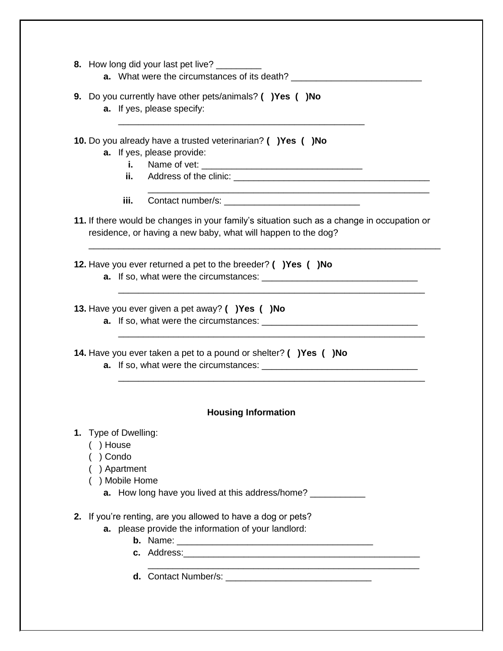| 8. How long did your last pet live? ________                                                                                                                |
|-------------------------------------------------------------------------------------------------------------------------------------------------------------|
| <b>a.</b> What were the circumstances of its death? __________________________________                                                                      |
| 9. Do you currently have other pets/animals? ( )Yes ( )No<br>a. If yes, please specify:                                                                     |
| 10. Do you already have a trusted veterinarian? ( ) Yes ( ) No<br>a. If yes, please provide:                                                                |
| i. I                                                                                                                                                        |
| ii.                                                                                                                                                         |
| iii.                                                                                                                                                        |
| 11. If there would be changes in your family's situation such as a change in occupation or<br>residence, or having a new baby, what will happen to the dog? |
| 12. Have you ever returned a pet to the breeder? ( ) Yes ( ) No                                                                                             |
| 13. Have you ever given a pet away? ( ) Yes ( ) No                                                                                                          |
| 14. Have you ever taken a pet to a pound or shelter? ( ) Yes ( ) No                                                                                         |
| <b>Housing Information</b>                                                                                                                                  |
| 1. Type of Dwelling:<br>) House<br>) Condo<br>) Apartment<br>) Mobile Home                                                                                  |
| 2. If you're renting, are you allowed to have a dog or pets?<br>a. please provide the information of your landlord:                                         |

- **b.** Name: \_\_\_\_\_\_\_\_\_\_\_\_\_\_\_\_\_\_\_\_\_\_\_\_\_\_\_\_\_\_\_\_\_\_\_\_\_\_\_
- **c.** Address:\_\_\_\_\_\_\_\_\_\_\_\_\_\_\_\_\_\_\_\_\_\_\_\_\_\_\_\_\_\_\_\_\_\_\_\_\_\_\_\_\_\_\_\_\_\_\_

\_\_\_\_\_\_\_\_\_\_\_\_\_\_\_\_\_\_\_\_\_\_\_\_\_\_\_\_\_\_\_\_\_\_\_\_\_\_\_\_\_\_\_\_\_\_\_\_\_\_\_\_\_\_

**d.** Contact Number/s: \_\_\_\_\_\_\_\_\_\_\_\_\_\_\_\_\_\_\_\_\_\_\_\_\_\_\_\_\_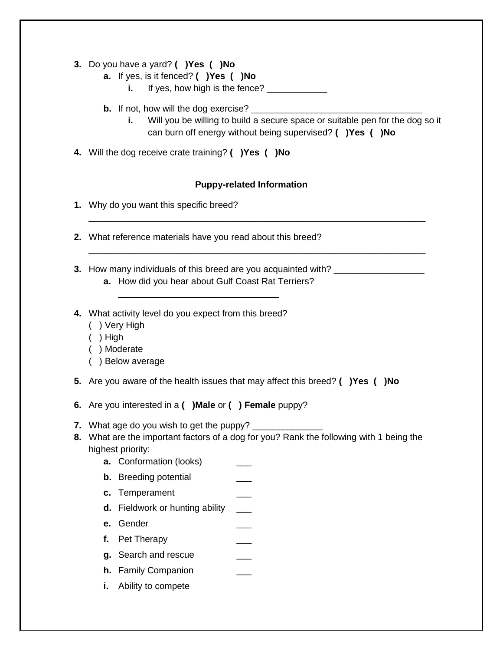- **3.** Do you have a yard? **( )Yes ( )No**
	- **a.** If yes, is it fenced? **( )Yes ( )No**
		- **i.** If yes, how high is the fence?
	- **b.** If not, how will the dog exercise? \_\_\_\_\_\_\_\_\_\_\_\_\_\_\_\_\_\_\_\_\_\_\_\_\_\_\_\_\_\_\_\_\_\_
		- **i.** Will you be willing to build a secure space or suitable pen for the dog so it can burn off energy without being supervised? **( )Yes ( )No**
- **4.** Will the dog receive crate training? **( )Yes ( )No**

## **Puppy-related Information**

\_\_\_\_\_\_\_\_\_\_\_\_\_\_\_\_\_\_\_\_\_\_\_\_\_\_\_\_\_\_\_\_\_\_\_\_\_\_\_\_\_\_\_\_\_\_\_\_\_\_\_\_\_\_\_\_\_\_\_\_\_\_\_\_\_\_\_

\_\_\_\_\_\_\_\_\_\_\_\_\_\_\_\_\_\_\_\_\_\_\_\_\_\_\_\_\_\_\_\_\_\_\_\_\_\_\_\_\_\_\_\_\_\_\_\_\_\_\_\_\_\_\_\_\_\_\_\_\_\_\_\_\_\_\_

- **1.** Why do you want this specific breed?
- **2.** What reference materials have you read about this breed?

\_\_\_\_\_\_\_\_\_\_\_\_\_\_\_\_\_\_\_\_\_\_\_\_\_\_\_\_\_\_\_\_

- **3.** How many individuals of this breed are you acquainted with? \_\_\_\_\_\_\_\_\_\_\_\_\_\_\_\_ **a.** How did you hear about Gulf Coast Rat Terriers?
- **4.** What activity level do you expect from this breed?
	- ( ) Very High
	- ( ) High
	- ( ) Moderate
	- ( ) Below average
- **5.** Are you aware of the health issues that may affect this breed? **( )Yes ( )No**
- **6.** Are you interested in a **( )Male** or **( ) Female** puppy?
- **7.** What age do you wish to get the puppy?
- **8.** What are the important factors of a dog for you? Rank the following with 1 being the highest priority:
	- **a.** Conformation (looks)
	- **b.** Breeding potential
	- **c.** Temperament \_\_\_\_
	- **d.** Fieldwork or hunting ability \_\_\_
	- **e.** Gender \_\_\_
	- **f.** Pet Therapy **EXALLES**
	- **g.** Search and rescue
	- **h.** Family Companion
	- **i.** Ability to compete